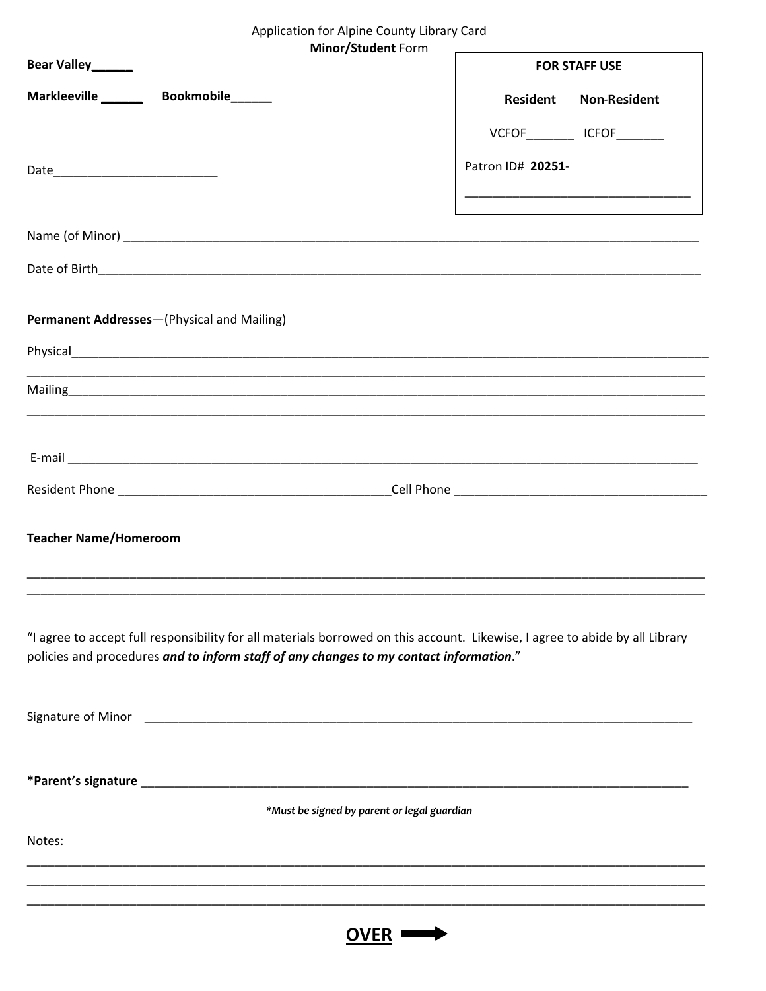| Application for Alpine County Library Card |  |
|--------------------------------------------|--|
| <b>Minor/Student Form</b>                  |  |

|                              | Minor/Student Form                                                                                                                                                                                                                  |                   |                       |
|------------------------------|-------------------------------------------------------------------------------------------------------------------------------------------------------------------------------------------------------------------------------------|-------------------|-----------------------|
| Bear Valley______            |                                                                                                                                                                                                                                     |                   | <b>FOR STAFF USE</b>  |
|                              | Markleeville _______ Bookmobile______                                                                                                                                                                                               |                   | Resident Non-Resident |
|                              |                                                                                                                                                                                                                                     |                   | VCFOF ICFOF           |
|                              |                                                                                                                                                                                                                                     | Patron ID# 20251- |                       |
|                              |                                                                                                                                                                                                                                     |                   |                       |
|                              |                                                                                                                                                                                                                                     |                   |                       |
|                              |                                                                                                                                                                                                                                     |                   |                       |
|                              |                                                                                                                                                                                                                                     |                   |                       |
|                              | Permanent Addresses-(Physical and Mailing)                                                                                                                                                                                          |                   |                       |
|                              |                                                                                                                                                                                                                                     |                   |                       |
|                              |                                                                                                                                                                                                                                     |                   |                       |
|                              |                                                                                                                                                                                                                                     |                   |                       |
|                              | E-mail <b>Example 2018</b> The contract of the contract of the contract of the contract of the contract of the contract of the contract of the contract of the contract of the contract of the contract of the contract of the cont |                   |                       |
|                              |                                                                                                                                                                                                                                     |                   |                       |
|                              |                                                                                                                                                                                                                                     |                   |                       |
| <b>Teacher Name/Homeroom</b> |                                                                                                                                                                                                                                     |                   |                       |
|                              |                                                                                                                                                                                                                                     |                   |                       |
|                              |                                                                                                                                                                                                                                     |                   |                       |
|                              | "I agree to accept full responsibility for all materials borrowed on this account. Likewise, I agree to abide by all Library                                                                                                        |                   |                       |
|                              | policies and procedures and to inform staff of any changes to my contact information."                                                                                                                                              |                   |                       |
|                              |                                                                                                                                                                                                                                     |                   |                       |
|                              |                                                                                                                                                                                                                                     |                   |                       |
|                              |                                                                                                                                                                                                                                     |                   |                       |
|                              |                                                                                                                                                                                                                                     |                   |                       |
|                              | *Must be signed by parent or legal guardian                                                                                                                                                                                         |                   |                       |
| Notes:                       |                                                                                                                                                                                                                                     |                   |                       |
|                              |                                                                                                                                                                                                                                     |                   |                       |
|                              |                                                                                                                                                                                                                                     |                   |                       |